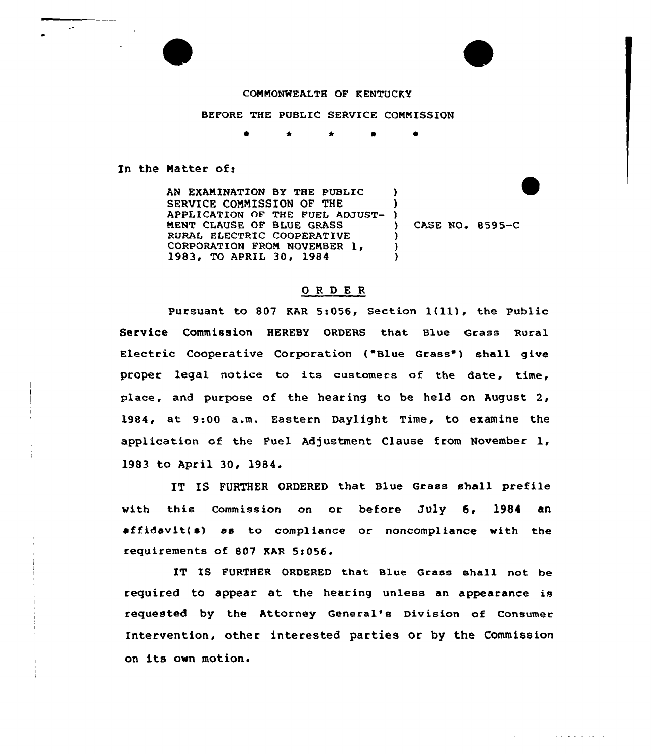## COMMONWEALTH OF KENTUCKY

BEFORE THE PUBLIC SERVICE COMMISSION

 $\bullet$ 

In the Matter of:

AN EXAMINATION BY THE PUBLIC SERVICE COMMISSION OF THE APPLICATION OF THE FUEL ADJUST-) MENT CLAUSE OF BLUE GRASS RURAL ELECTRIC COOPERATIVE CORPORATION FROM NOVEMBER 1,<br>1983, TO APRIL 30, 1984  $\lambda$ ) ) ) )

) CASE NO. 8595-C

المناسب المناسب المتناولين

## ORDER

Pursuant to <sup>807</sup> KAR 5:056, Section l(ll), the Public Service Commission HEREBY oRDERs that Blue Grass Rural Electric Cooperative Corporation ("Blue Grass" ) shall give proper legal notice to its customecs of the date, time, place, and purpose of the hearing to be held on August 2, 1984, at 9:00 a.m. Eastern Daylight Time, to examine the application of the Fuel Adjustment Clause from November 1, 1983 to April 30, 1984.

IT IS FURTHER ORDERED that Blue Grass shall prefile with this commission on or before July 6, 1984 an affidavit(s) as to compliance or noncompliance with the requirements of 807 KAR 5:056.

IT IS FURTHER ORDERED that Blue Grass shall not be required to appear at the hearing unless an appearance is requested by the Attorney General's Division of Consumer Intervention, other interested parties or by the Commission on its own motion.